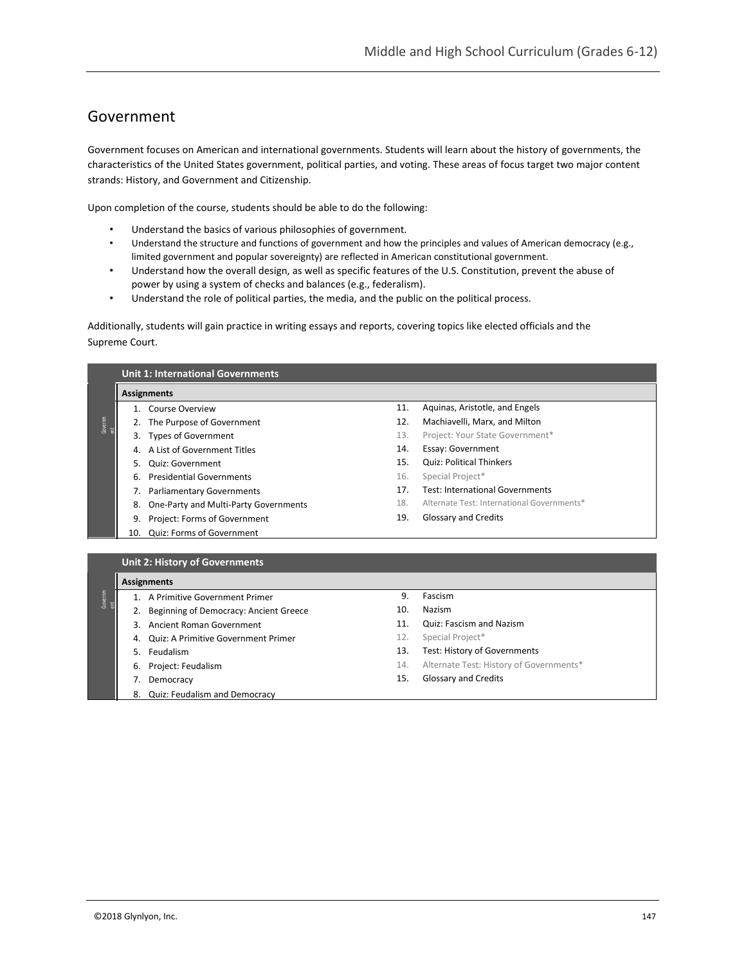## Government

Government focuses on American and international governments. Students will learn about the history of governments, the characteristics of the United States government, political parties, and voting. These areas of focus target two major content strands: History, and Government and Citizenship.

Upon completion of the course, students should be able to do the following:

- Understand the basics of various philosophies of government.
- Understand the structure and functions of government and how the principles and values of American democracy (e.g., limited government and popular sovereignty) are reflected in American constitutional government.
- Understand how the overall design, as well as specific features of the U.S. Constitution, prevent the abuse of power by using a system of checks and balances (e.g., federalism).
- Understand the role of political parties, the media, and the public on the political process.

Additionally, students will gain practice in writing essays and reports, covering topics like elected officials and the Supreme Court.

|                | <b>Assignments</b>                          |     |                                            |  |
|----------------|---------------------------------------------|-----|--------------------------------------------|--|
|                | Course Overview                             | 11. | Aguinas, Aristotle, and Engels             |  |
| Governm<br>ent | The Purpose of Government                   | 12. | Machiavelli, Marx, and Milton              |  |
|                | <b>Types of Government</b><br>3.            | 13. | Project: Your State Government*            |  |
|                | A List of Government Titles<br>4.           | 14. | Essay: Government                          |  |
|                | Quiz: Government<br>5.                      | 15. | <b>Quiz: Political Thinkers</b>            |  |
|                | <b>Presidential Governments</b><br>6.       | 16. | Special Project*                           |  |
|                | <b>Parliamentary Governments</b><br>7.      | 17. | <b>Test: International Governments</b>     |  |
|                | One-Party and Multi-Party Governments<br>8. | 18. | Alternate Test: International Governments* |  |
|                | Project: Forms of Government<br>9.          | 19. | <b>Glossary and Credits</b>                |  |
|                | <b>Quiz: Forms of Government</b><br>10.     |     |                                            |  |

#### **Assignments** Governm  $\tilde{e}$ 1. A Primitive Government Primer 2. Beginning of Democracy: Ancient Greece 3. Ancient Roman Government 4. Quiz: A Primitive Government Primer 5. Feudalism 6. Project: Feudalism 7. Democracy 8. Quiz: Feudalism and Democracy 9. Fascism 10. Nazism 11. Quiz: Fascism and Nazism 12. Special Project\* 13. Test: History of Governments 14. Alternate Test: History of Governments\* 15. Glossary and Credits